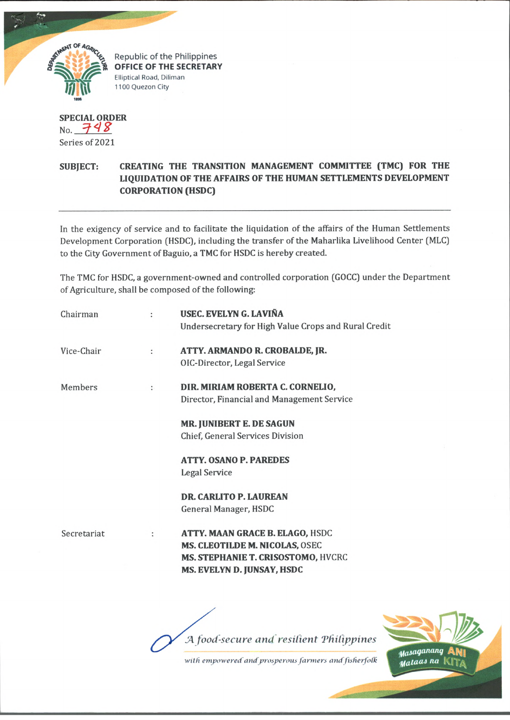

**SPECIAL ORDER**  $N_0$ , 748 Series of 2021

## **SUBJECT: CREATING THE TRANSITION MANAGEMENT COMMITTEE (TMC) FOR THE LIQUIDATION OF THE AFFAIRS OF THE HUMAN SETTLEMENTS DEVELOPMENT CORPORATION (HSDC)**

In the exigency of service and to facilitate the liquidation of the affairs of the Human Settlements Development Corporation (HSDC), including the transfer of the Maharlika Livelihood Center (MLC) to the City Government of Baguio, a TMC for HSDC is hereby created.

The TMC for HSDC, a government-owned and controlled corporation (GOCC) under the Department of Agriculture, shall be composed of the following:

|             |   |                                                                                                    | <b>Column Column Township</b> |  |
|-------------|---|----------------------------------------------------------------------------------------------------|-------------------------------|--|
|             | ÷ | MS. CLEOTILDE M. NICOLAS, OSEC<br>MS. STEPHANIE T. CRISOSTOMO, HVCRC<br>MS. EVELYN D. JUNSAY, HSDC |                               |  |
| Secretariat |   | <b>DR. CARLITO P. LAUREAN</b><br>General Manager, HSDC<br>ATTY. MAAN GRACE B. ELAGO, HSDC          |                               |  |
|             |   | <b>ATTY. OSANO P. PAREDES</b><br><b>Legal Service</b>                                              |                               |  |
|             |   | <b>MR. JUNIBERT E. DE SAGUN</b><br>Chief, General Services Division                                |                               |  |
| Members     | ÷ | DIR. MIRIAM ROBERTA C. CORNELIO,<br>Director, Financial and Management Service                     |                               |  |
| Vice-Chair  | : | ATTY. ARMANDO R. CROBALDE, JR.<br>OIC-Director, Legal Service                                      |                               |  |
| Chairman    | ÷ | USEC. EVELYN G. LAVIÑA<br>Undersecretary for High Value Crops and Rural Credit                     |                               |  |

*/A food-secure and resilient 'Philippines*

*willi empowered andprosperous farmers and fisherfoik*

Masaganang Malaas na